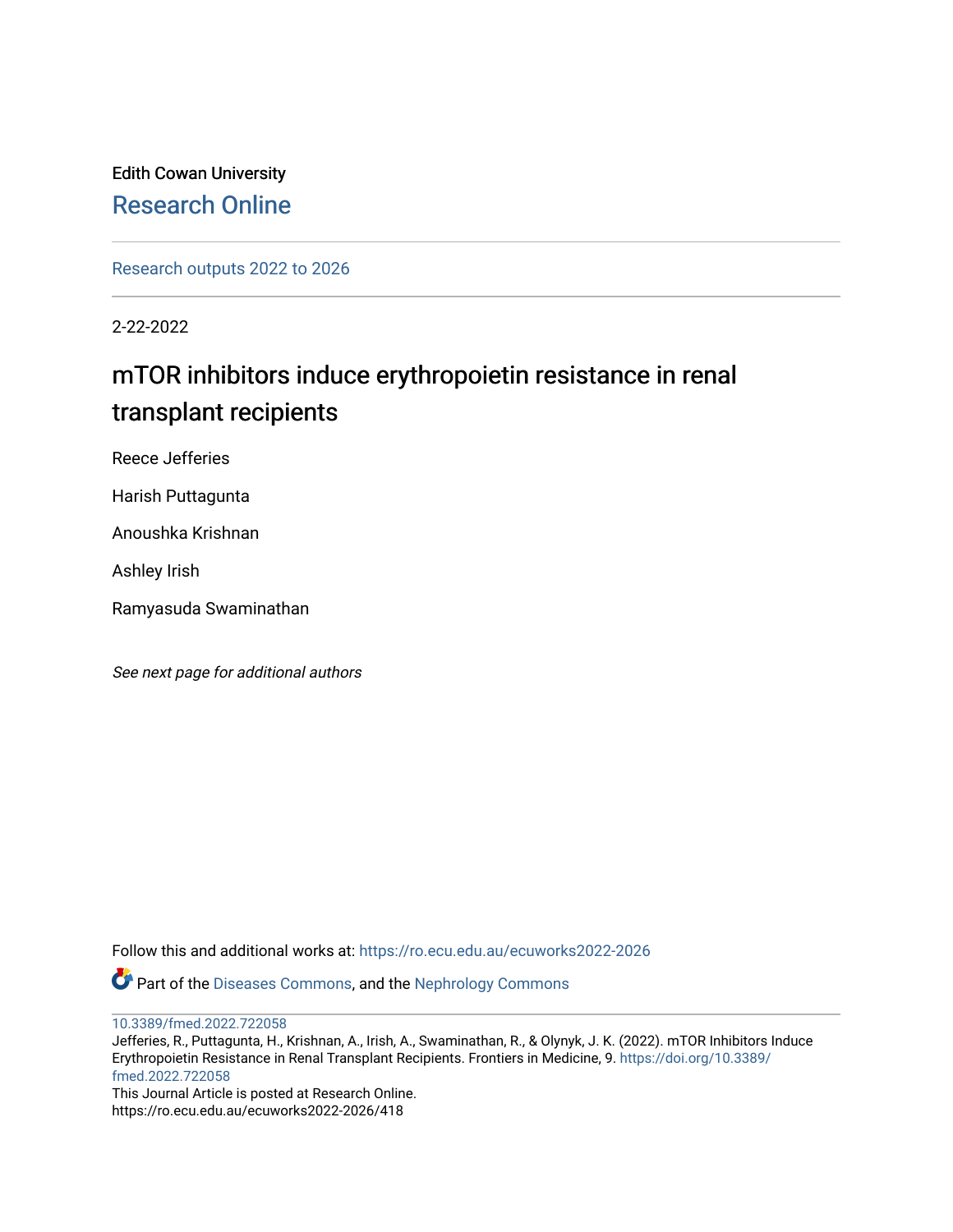## Edith Cowan University [Research Online](https://ro.ecu.edu.au/)

[Research outputs 2022 to 2026](https://ro.ecu.edu.au/ecuworks2022-2026) 

2-22-2022

## mTOR inhibitors induce erythropoietin resistance in renal transplant recipients

Reece Jefferies

Harish Puttagunta

Anoushka Krishnan

Ashley Irish

Ramyasuda Swaminathan

See next page for additional authors

Follow this and additional works at: [https://ro.ecu.edu.au/ecuworks2022-2026](https://ro.ecu.edu.au/ecuworks2022-2026?utm_source=ro.ecu.edu.au%2Fecuworks2022-2026%2F418&utm_medium=PDF&utm_campaign=PDFCoverPages)

Part of the [Diseases Commons](http://network.bepress.com/hgg/discipline/813?utm_source=ro.ecu.edu.au%2Fecuworks2022-2026%2F418&utm_medium=PDF&utm_campaign=PDFCoverPages), and the [Nephrology Commons](http://network.bepress.com/hgg/discipline/691?utm_source=ro.ecu.edu.au%2Fecuworks2022-2026%2F418&utm_medium=PDF&utm_campaign=PDFCoverPages) 

[10.3389/fmed.2022.722058](http://dx.doi.org/10.3389/fmed.2022.722058) 

Jefferies, R., Puttagunta, H., Krishnan, A., Irish, A., Swaminathan, R., & Olynyk, J. K. (2022). mTOR Inhibitors Induce Erythropoietin Resistance in Renal Transplant Recipients. Frontiers in Medicine, 9. [https://doi.org/10.3389/](https://doi.org/10.3389/fmed.2022.722058) [fmed.2022.722058](https://doi.org/10.3389/fmed.2022.722058)

This Journal Article is posted at Research Online. https://ro.ecu.edu.au/ecuworks2022-2026/418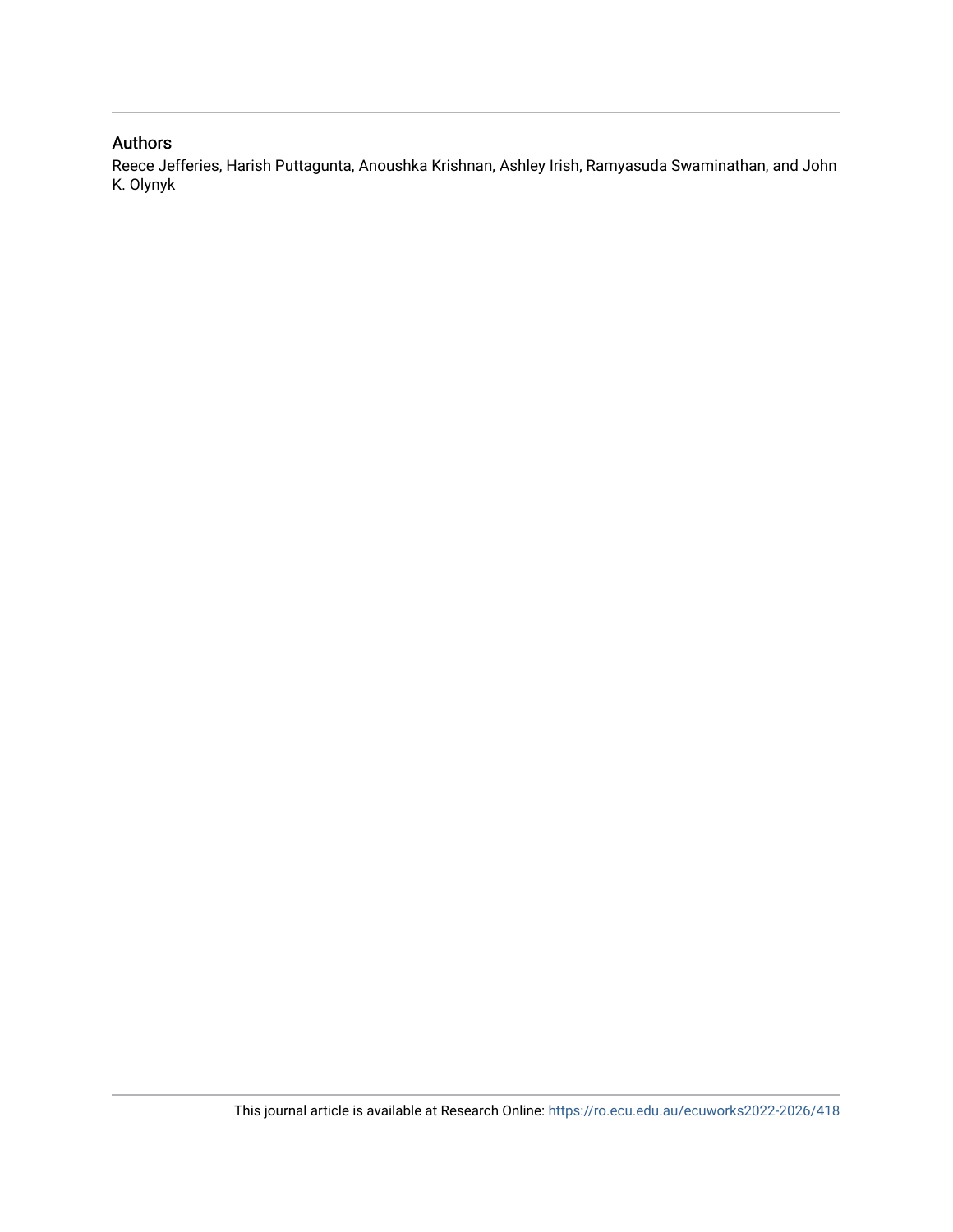#### Authors

Reece Jefferies, Harish Puttagunta, Anoushka Krishnan, Ashley Irish, Ramyasuda Swaminathan, and John K. Olynyk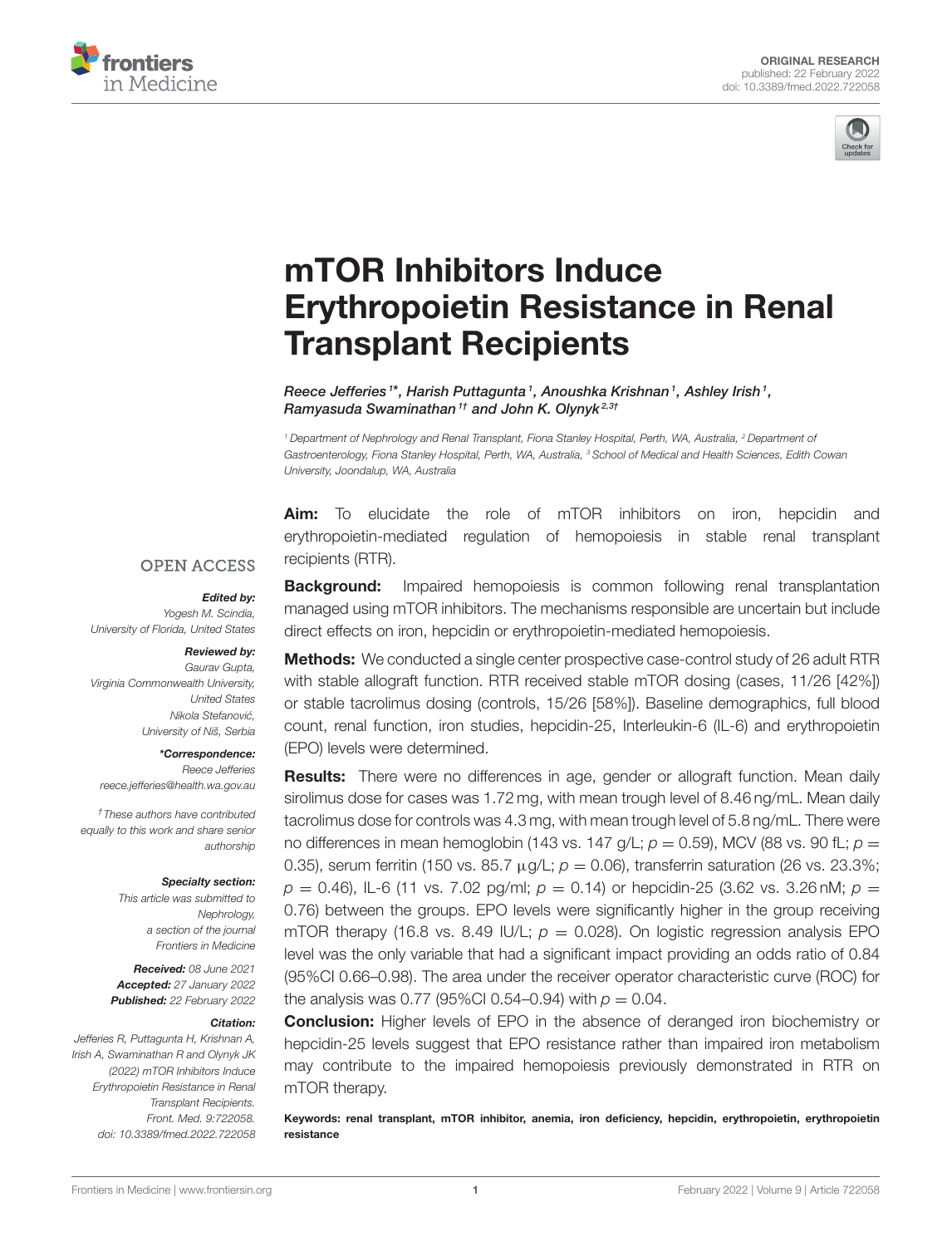



# mTOR Inhibitors Induce [Erythropoietin Resistance in Renal](https://www.frontiersin.org/articles/10.3389/fmed.2022.722058/full) Transplant Recipients

Reece Jefferies <sup>1\*</sup>, Harish Puttagunta <sup>1</sup>, Anoushka Krishnan <sup>1</sup>, Ashley Irish <sup>1</sup>, Ramyasuda Swaminathan<sup>1†</sup> and John K. Olynyk<sup>2,3†</sup>

<sup>1</sup> Department of Nephrology and Renal Transplant, Fiona Stanley Hospital, Perth, WA, Australia, <sup>2</sup> Department of Gastroenterology, Fiona Stanley Hospital, Perth, WA, Australia, <sup>3</sup> School of Medical and Health Sciences, Edith Cowan University, Joondalup, WA, Australia

Aim: To elucidate the role of mTOR inhibitors on iron, hepcidin and erythropoietin-mediated regulation of hemopoiesis in stable renal transplant recipients (RTR).

#### **OPEN ACCESS**

#### Edited by:

Yogesh M. Scindia, University of Florida, United States

#### Reviewed by:

Gaurav Gupta, Virginia Commonwealth University, United States Nikola Stefanović, University of Niš, Serbia

#### \*Correspondence:

Reece Jefferies [reece.jefferies@health.wa.gov.au](mailto:reece.jefferies@health.wa.gov.au)

†These authors have contributed equally to this work and share senior authorship

#### Specialty section:

This article was submitted to Nephrology, a section of the journal Frontiers in Medicine

Received: 08 June 2021 Accepted: 27 January 2022 Published: 22 February 2022

#### Citation:

Jefferies R, Puttagunta H, Krishnan A, Irish A, Swaminathan R and Olynyk JK (2022) mTOR Inhibitors Induce Erythropoietin Resistance in Renal Transplant Recipients. Front. Med. 9:722058. doi: [10.3389/fmed.2022.722058](https://doi.org/10.3389/fmed.2022.722058) **Background:** Impaired hemopoiesis is common following renal transplantation managed using mTOR inhibitors. The mechanisms responsible are uncertain but include direct effects on iron, hepcidin or erythropoietin-mediated hemopoiesis.

Methods: We conducted a single center prospective case-control study of 26 adult RTR with stable allograft function. RTR received stable mTOR dosing (cases, 11/26 [42%]) or stable tacrolimus dosing (controls, 15/26 [58%]). Baseline demographics, full blood count, renal function, iron studies, hepcidin-25, Interleukin-6 (IL-6) and erythropoietin (EPO) levels were determined.

**Results:** There were no differences in age, gender or allograft function. Mean daily sirolimus dose for cases was 1.72 mg, with mean trough level of 8.46 ng/mL. Mean daily tacrolimus dose for controls was 4.3 mg, with mean trough level of 5.8 ng/mL. There were no differences in mean hemoglobin (143 vs. 147 g/L;  $p = 0.59$ ), MCV (88 vs. 90 fL;  $p = 0$ 0.35), serum ferritin (150 vs. 85.7  $\mu$ g/L;  $p = 0.06$ ), transferrin saturation (26 vs. 23.3%;  $p = 0.46$ ), IL-6 (11 vs. 7.02 pg/ml;  $p = 0.14$ ) or hepcidin-25 (3.62 vs. 3.26 nM;  $p =$ 0.76) between the groups. EPO levels were significantly higher in the group receiving mTOR therapy (16.8 vs. 8.49 IU/L;  $p = 0.028$ ). On logistic regression analysis EPO level was the only variable that had a significant impact providing an odds ratio of 0.84 (95%CI 0.66–0.98). The area under the receiver operator characteristic curve (ROC) for the analysis was 0.77 (95%CI 0.54–0.94) with  $p = 0.04$ .

**Conclusion:** Higher levels of EPO in the absence of deranged iron biochemistry or hepcidin-25 levels suggest that EPO resistance rather than impaired iron metabolism may contribute to the impaired hemopoiesis previously demonstrated in RTR on mTOR therapy.

Keywords: renal transplant, mTOR inhibitor, anemia, iron deficiency, hepcidin, erythropoietin, erythropoietin resistance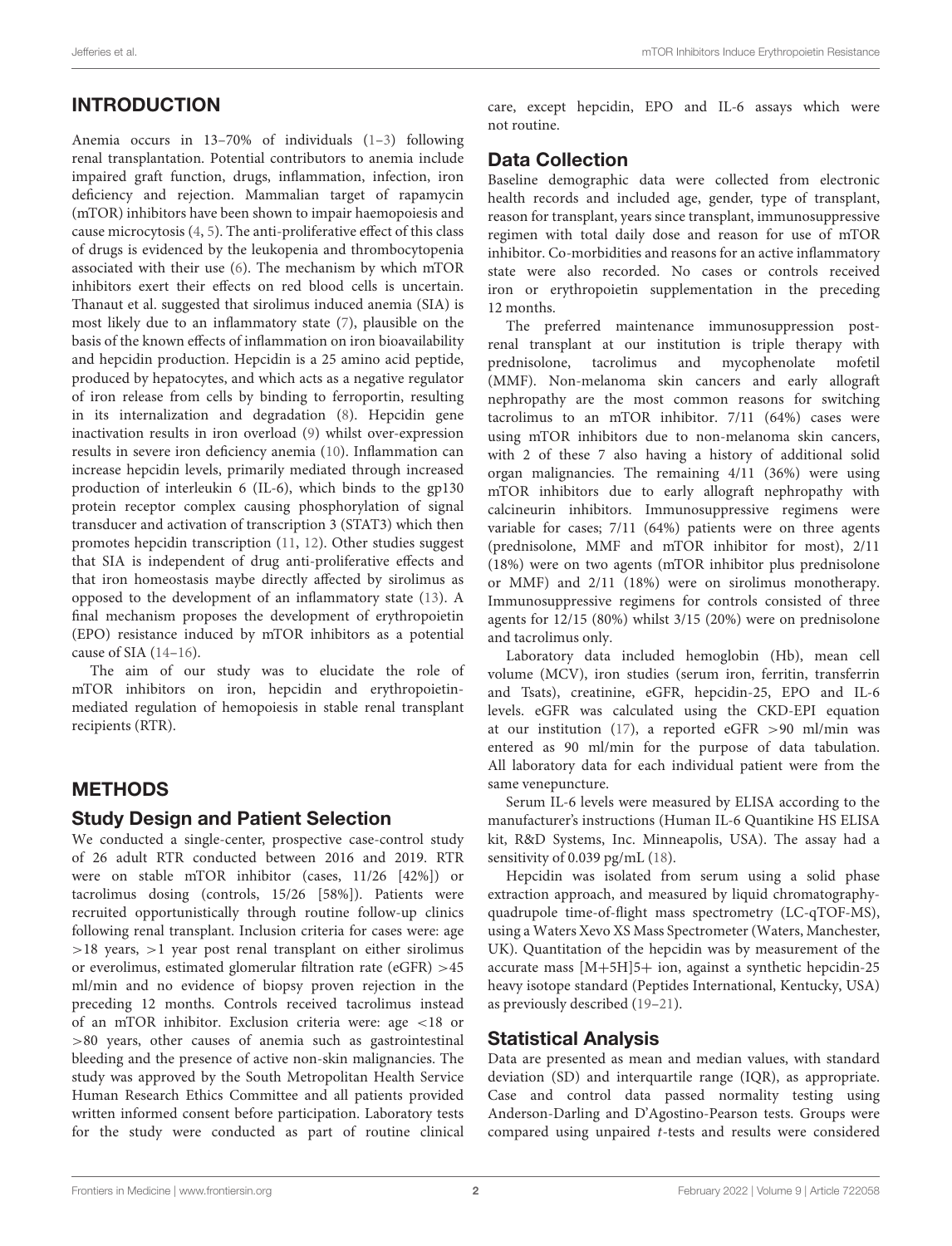## INTRODUCTION

Anemia occurs in 13–70% of individuals [\(1–](#page-6-0)[3\)](#page-6-1) following renal transplantation. Potential contributors to anemia include impaired graft function, drugs, inflammation, infection, iron deficiency and rejection. Mammalian target of rapamycin (mTOR) inhibitors have been shown to impair haemopoiesis and cause microcytosis [\(4,](#page-6-2) [5\)](#page-6-3). The anti-proliferative effect of this class of drugs is evidenced by the leukopenia and thrombocytopenia associated with their use [\(6\)](#page-6-4). The mechanism by which mTOR inhibitors exert their effects on red blood cells is uncertain. Thanaut et al. suggested that sirolimus induced anemia (SIA) is most likely due to an inflammatory state [\(7\)](#page-6-5), plausible on the basis of the known effects of inflammation on iron bioavailability and hepcidin production. Hepcidin is a 25 amino acid peptide, produced by hepatocytes, and which acts as a negative regulator of iron release from cells by binding to ferroportin, resulting in its internalization and degradation [\(8\)](#page-6-6). Hepcidin gene inactivation results in iron overload [\(9\)](#page-6-7) whilst over-expression results in severe iron deficiency anemia [\(10\)](#page-6-8). Inflammation can increase hepcidin levels, primarily mediated through increased production of interleukin 6 (IL-6), which binds to the gp130 protein receptor complex causing phosphorylation of signal transducer and activation of transcription 3 (STAT3) which then promotes hepcidin transcription [\(11,](#page-6-9) [12\)](#page-6-10). Other studies suggest that SIA is independent of drug anti-proliferative effects and that iron homeostasis maybe directly affected by sirolimus as opposed to the development of an inflammatory state [\(13\)](#page-6-11). A final mechanism proposes the development of erythropoietin (EPO) resistance induced by mTOR inhibitors as a potential cause of SIA [\(14](#page-6-12)[–16\)](#page-6-13).

The aim of our study was to elucidate the role of mTOR inhibitors on iron, hepcidin and erythropoietinmediated regulation of hemopoiesis in stable renal transplant recipients (RTR).

## METHODS

#### Study Design and Patient Selection

We conducted a single-center, prospective case-control study of 26 adult RTR conducted between 2016 and 2019. RTR were on stable mTOR inhibitor (cases, 11/26 [42%]) or tacrolimus dosing (controls, 15/26 [58%]). Patients were recruited opportunistically through routine follow-up clinics following renal transplant. Inclusion criteria for cases were: age >18 years, >1 year post renal transplant on either sirolimus or everolimus, estimated glomerular filtration rate (eGFR) >45 ml/min and no evidence of biopsy proven rejection in the preceding 12 months. Controls received tacrolimus instead of an mTOR inhibitor. Exclusion criteria were: age <18 or >80 years, other causes of anemia such as gastrointestinal bleeding and the presence of active non-skin malignancies. The study was approved by the South Metropolitan Health Service Human Research Ethics Committee and all patients provided written informed consent before participation. Laboratory tests for the study were conducted as part of routine clinical care, except hepcidin, EPO and IL-6 assays which were not routine.

#### Data Collection

Baseline demographic data were collected from electronic health records and included age, gender, type of transplant, reason for transplant, years since transplant, immunosuppressive regimen with total daily dose and reason for use of mTOR inhibitor. Co-morbidities and reasons for an active inflammatory state were also recorded. No cases or controls received iron or erythropoietin supplementation in the preceding 12 months.

The preferred maintenance immunosuppression postrenal transplant at our institution is triple therapy with prednisolone, tacrolimus and mycophenolate mofetil (MMF). Non-melanoma skin cancers and early allograft nephropathy are the most common reasons for switching tacrolimus to an mTOR inhibitor. 7/11 (64%) cases were using mTOR inhibitors due to non-melanoma skin cancers, with 2 of these 7 also having a history of additional solid organ malignancies. The remaining 4/11 (36%) were using mTOR inhibitors due to early allograft nephropathy with calcineurin inhibitors. Immunosuppressive regimens were variable for cases; 7/11 (64%) patients were on three agents (prednisolone, MMF and mTOR inhibitor for most), 2/11 (18%) were on two agents (mTOR inhibitor plus prednisolone or MMF) and 2/11 (18%) were on sirolimus monotherapy. Immunosuppressive regimens for controls consisted of three agents for 12/15 (80%) whilst 3/15 (20%) were on prednisolone and tacrolimus only.

Laboratory data included hemoglobin (Hb), mean cell volume (MCV), iron studies (serum iron, ferritin, transferrin and Tsats), creatinine, eGFR, hepcidin-25, EPO and IL-6 levels. eGFR was calculated using the CKD-EPI equation at our institution [\(17\)](#page-6-14), a reported eGFR >90 ml/min was entered as 90 ml/min for the purpose of data tabulation. All laboratory data for each individual patient were from the same venepuncture.

Serum IL-6 levels were measured by ELISA according to the manufacturer's instructions (Human IL-6 Quantikine HS ELISA kit, R&D Systems, Inc. Minneapolis, USA). The assay had a sensitivity of 0.039 pg/mL [\(18\)](#page-6-15).

Hepcidin was isolated from serum using a solid phase extraction approach, and measured by liquid chromatographyquadrupole time-of-flight mass spectrometry (LC-qTOF-MS), using a Waters Xevo XS Mass Spectrometer (Waters, Manchester, UK). Quantitation of the hepcidin was by measurement of the accurate mass [M+5H]5+ ion, against a synthetic hepcidin-25 heavy isotope standard (Peptides International, Kentucky, USA) as previously described [\(19–](#page-6-16)[21\)](#page-6-17).

#### Statistical Analysis

Data are presented as mean and median values, with standard deviation (SD) and interquartile range (IQR), as appropriate. Case and control data passed normality testing using Anderson-Darling and D'Agostino-Pearson tests. Groups were compared using unpaired t-tests and results were considered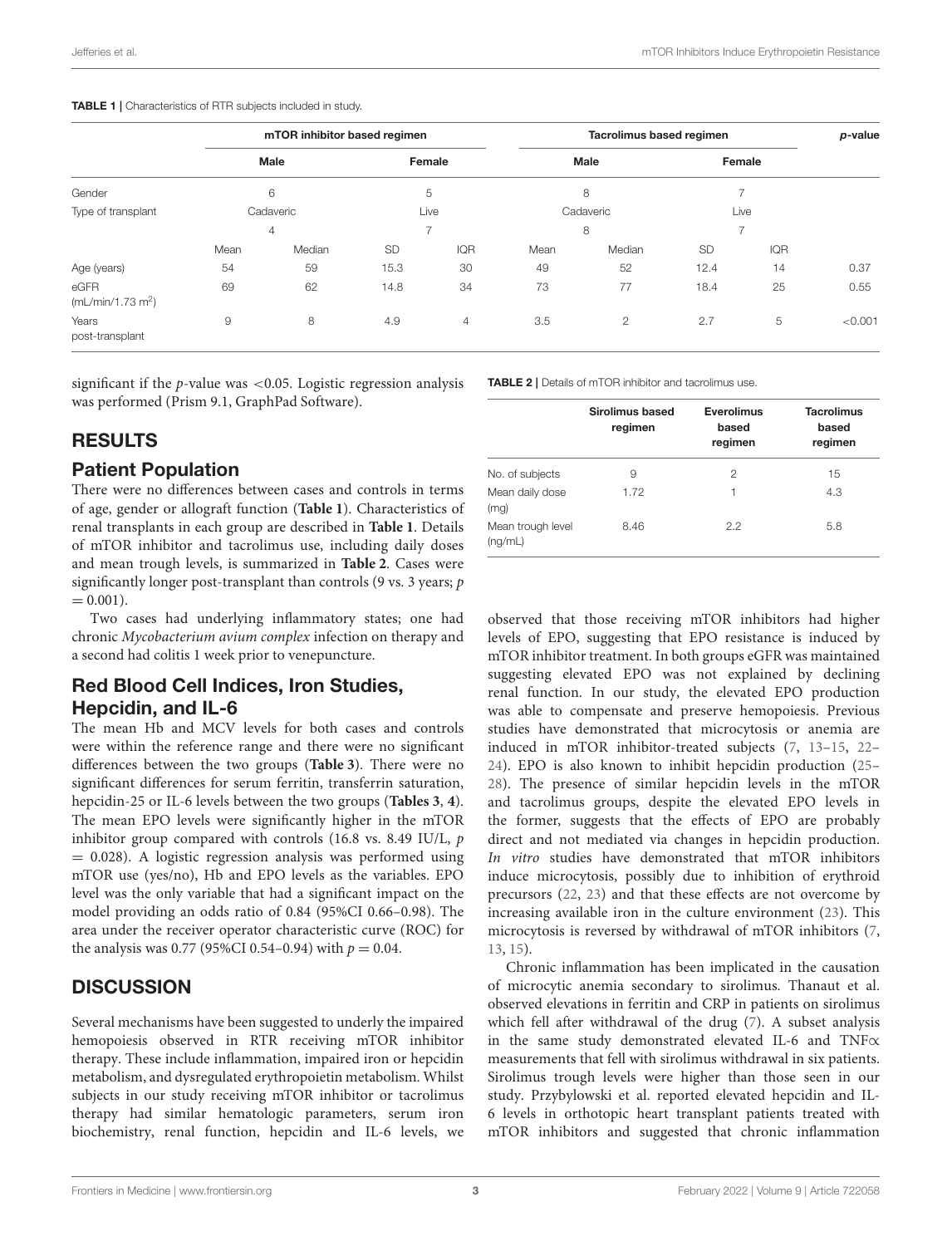#### <span id="page-4-0"></span>TABLE 1 | Characteristics of RTR subjects included in study.

|                                       | mTOR inhibitor based regimen       |    |                          |      | Tacrolimus based regimen           |    |                                                 |      | p-value |
|---------------------------------------|------------------------------------|----|--------------------------|------|------------------------------------|----|-------------------------------------------------|------|---------|
|                                       | <b>Male</b><br>6<br>Cadaveric<br>4 |    | Female<br>5<br>Live<br>⇁ |      | <b>Male</b><br>8<br>Cadaveric<br>8 |    | Female<br>$\overline{\phantom{0}}$<br>Live<br>7 |      |         |
| Gender                                |                                    |    |                          |      |                                    |    |                                                 |      |         |
| Type of transplant                    |                                    |    |                          |      |                                    |    |                                                 |      |         |
|                                       |                                    |    |                          |      |                                    |    |                                                 |      |         |
|                                       | Age (years)                        | 54 | 59                       | 15.3 | 30                                 | 49 | 52                                              | 12.4 | 14      |
| eGFR<br>(mL/min/1.73 m <sup>2</sup> ) | 69                                 | 62 | 14.8                     | 34   | 73                                 | 77 | 18.4                                            | 25   | 0.55    |
| Years<br>post-transplant              | 9                                  | 8  | 4.9                      | 4    | 3.5                                | 2  | 2.7                                             | 5    | < 0.001 |

significant if the  $p$ -value was <0.05. Logistic regression analysis was performed (Prism 9.1, GraphPad Software).

## RESULTS

#### Patient Population

There were no differences between cases and controls in terms of age, gender or allograft function (**[Table 1](#page-4-0)**). Characteristics of renal transplants in each group are described in **[Table 1](#page-4-0)**. Details of mTOR inhibitor and tacrolimus use, including daily doses and mean trough levels, is summarized in **[Table 2](#page-4-1)**. Cases were significantly longer post-transplant than controls (9 vs. 3 years; p  $= 0.001$ ).

Two cases had underlying inflammatory states; one had chronic Mycobacterium avium complex infection on therapy and a second had colitis 1 week prior to venepuncture.

## Red Blood Cell Indices, Iron Studies, Hepcidin, and IL-6

The mean Hb and MCV levels for both cases and controls were within the reference range and there were no significant differences between the two groups (**[Table 3](#page-5-0)**). There were no significant differences for serum ferritin, transferrin saturation, hepcidin-25 or IL-6 levels between the two groups (**[Tables 3](#page-5-0)**, **[4](#page-5-1)**). The mean EPO levels were significantly higher in the mTOR inhibitor group compared with controls (16.8 vs. 8.49 IU/L, p  $= 0.028$ ). A logistic regression analysis was performed using mTOR use (yes/no), Hb and EPO levels as the variables. EPO level was the only variable that had a significant impact on the model providing an odds ratio of 0.84 (95%CI 0.66–0.98). The area under the receiver operator characteristic curve (ROC) for the analysis was 0.77 (95%CI 0.54–0.94) with  $p = 0.04$ .

## **DISCUSSION**

Several mechanisms have been suggested to underly the impaired hemopoiesis observed in RTR receiving mTOR inhibitor therapy. These include inflammation, impaired iron or hepcidin metabolism, and dysregulated erythropoietin metabolism. Whilst subjects in our study receiving mTOR inhibitor or tacrolimus therapy had similar hematologic parameters, serum iron biochemistry, renal function, hepcidin and IL-6 levels, we <span id="page-4-1"></span>TABLE 2 | Details of mTOR inhibitor and tacrolimus use.

|                              | Sirolimus based<br>regimen | <b>Everolimus</b><br>based<br>regimen | <b>Tacrolimus</b><br>based<br>regimen |
|------------------------------|----------------------------|---------------------------------------|---------------------------------------|
| No. of subjects              | 9                          | 2                                     | 15                                    |
| Mean daily dose<br>(mq)      | 1.72                       |                                       | 4.3                                   |
| Mean trough level<br>(nq/mL) | 8.46                       | 2.2                                   | 5.8                                   |

observed that those receiving mTOR inhibitors had higher levels of EPO, suggesting that EPO resistance is induced by mTOR inhibitor treatment. In both groups eGFR was maintained suggesting elevated EPO was not explained by declining renal function. In our study, the elevated EPO production was able to compensate and preserve hemopoiesis. Previous studies have demonstrated that microcytosis or anemia are induced in mTOR inhibitor-treated subjects [\(7,](#page-6-5) [13–](#page-6-11)[15,](#page-6-18) [22–](#page-6-19) [24\)](#page-6-20). EPO is also known to inhibit hepcidin production [\(25–](#page-6-21) [28\)](#page-6-22). The presence of similar hepcidin levels in the mTOR and tacrolimus groups, despite the elevated EPO levels in the former, suggests that the effects of EPO are probably direct and not mediated via changes in hepcidin production. In vitro studies have demonstrated that mTOR inhibitors induce microcytosis, possibly due to inhibition of erythroid precursors [\(22,](#page-6-19) [23\)](#page-6-23) and that these effects are not overcome by increasing available iron in the culture environment [\(23\)](#page-6-23). This microcytosis is reversed by withdrawal of mTOR inhibitors [\(7,](#page-6-5) [13,](#page-6-11) [15\)](#page-6-18).

Chronic inflammation has been implicated in the causation of microcytic anemia secondary to sirolimus. Thanaut et al. observed elevations in ferritin and CRP in patients on sirolimus which fell after withdrawal of the drug [\(7\)](#page-6-5). A subset analysis in the same study demonstrated elevated IL-6 and TNF∝ measurements that fell with sirolimus withdrawal in six patients. Sirolimus trough levels were higher than those seen in our study. Przybylowski et al. reported elevated hepcidin and IL-6 levels in orthotopic heart transplant patients treated with mTOR inhibitors and suggested that chronic inflammation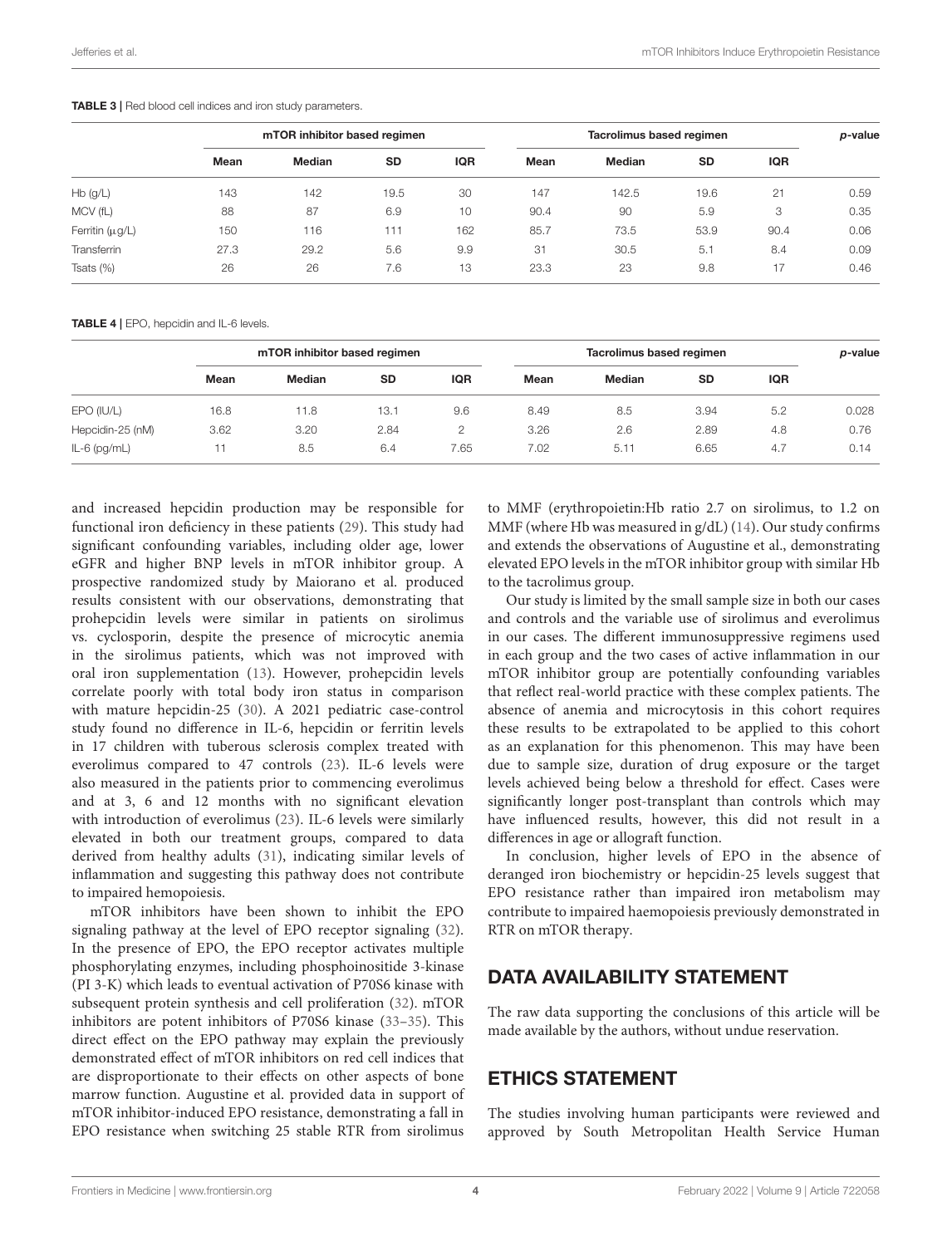#### <span id="page-5-0"></span>TABLE 3 | Red blood cell indices and iron study parameters.

|                      | mTOR inhibitor based regimen |               |           |            | Tacrolimus based regimen |               |           |      | p-value |
|----------------------|------------------------------|---------------|-----------|------------|--------------------------|---------------|-----------|------|---------|
|                      | Mean                         | <b>Median</b> | <b>SD</b> | <b>IQR</b> | Mean                     | <b>Median</b> | <b>SD</b> | IQR  |         |
| $Hb$ (g/L)           | 143                          | 142           | 19.5      | 30         | 147                      | 142.5         | 19.6      | 21   | 0.59    |
| MCV (fL)             | 88                           | 87            | 6.9       | 10         | 90.4                     | 90            | 5.9       | 3    | 0.35    |
| Ferritin $(\mu g/L)$ | 150                          | 116           | 111       | 162        | 85.7                     | 73.5          | 53.9      | 90.4 | 0.06    |
| <b>Transferrin</b>   | 27.3                         | 29.2          | 5.6       | 9.9        | 31                       | 30.5          | 5.1       | 8.4  | 0.09    |
| Tsats $(\%)$         | 26                           | 26            | 7.6       | 13         | 23.3                     | 23            | 9.8       | 17   | 0.46    |

<span id="page-5-1"></span>TABLE 4 | EPO, hepcidin and IL-6 levels.

|                  | mTOR inhibitor based regimen |        |           |            | Tacrolimus based regimen |               |           |            | p-value |
|------------------|------------------------------|--------|-----------|------------|--------------------------|---------------|-----------|------------|---------|
|                  | Mean                         | Median | <b>SD</b> | <b>IQR</b> | Mean                     | <b>Median</b> | <b>SD</b> | <b>IQR</b> |         |
| EPO (IU/L)       | 16.8                         | 11.8   | 13.1      | 9.6        | 8.49                     | 8.5           | 3.94      | 5.2        | 0.028   |
| Hepcidin-25 (nM) | 3.62                         | 3.20   | 2.84      | Ο          | 3.26                     | 2.6           | 2.89      | 4.8        | 0.76    |
| $IL-6$ (pg/mL)   |                              | 8.5    | 6.4       | 7.65       | 7.02                     | 5.11          | 6.65      | 4.7        | 0.14    |

and increased hepcidin production may be responsible for functional iron deficiency in these patients [\(29\)](#page-7-0). This study had significant confounding variables, including older age, lower eGFR and higher BNP levels in mTOR inhibitor group. A prospective randomized study by Maiorano et al. produced results consistent with our observations, demonstrating that prohepcidin levels were similar in patients on sirolimus vs. cyclosporin, despite the presence of microcytic anemia in the sirolimus patients, which was not improved with oral iron supplementation [\(13\)](#page-6-11). However, prohepcidin levels correlate poorly with total body iron status in comparison with mature hepcidin-25 [\(30\)](#page-7-1). A 2021 pediatric case-control study found no difference in IL-6, hepcidin or ferritin levels in 17 children with tuberous sclerosis complex treated with everolimus compared to 47 controls [\(23\)](#page-6-23). IL-6 levels were also measured in the patients prior to commencing everolimus and at 3, 6 and 12 months with no significant elevation with introduction of everolimus [\(23\)](#page-6-23). IL-6 levels were similarly elevated in both our treatment groups, compared to data derived from healthy adults [\(31\)](#page-7-2), indicating similar levels of inflammation and suggesting this pathway does not contribute to impaired hemopoiesis.

mTOR inhibitors have been shown to inhibit the EPO signaling pathway at the level of EPO receptor signaling [\(32\)](#page-7-3). In the presence of EPO, the EPO receptor activates multiple phosphorylating enzymes, including phosphoinositide 3-kinase (PI 3-K) which leads to eventual activation of P70S6 kinase with subsequent protein synthesis and cell proliferation [\(32\)](#page-7-3). mTOR inhibitors are potent inhibitors of P70S6 kinase [\(33–](#page-7-4)[35\)](#page-7-5). This direct effect on the EPO pathway may explain the previously demonstrated effect of mTOR inhibitors on red cell indices that are disproportionate to their effects on other aspects of bone marrow function. Augustine et al. provided data in support of mTOR inhibitor-induced EPO resistance, demonstrating a fall in EPO resistance when switching 25 stable RTR from sirolimus to MMF (erythropoietin:Hb ratio 2.7 on sirolimus, to 1.2 on MMF (where Hb was measured in g/dL) [\(14\)](#page-6-12). Our study confirms and extends the observations of Augustine et al., demonstrating elevated EPO levels in the mTOR inhibitor group with similar Hb to the tacrolimus group.

Our study is limited by the small sample size in both our cases and controls and the variable use of sirolimus and everolimus in our cases. The different immunosuppressive regimens used in each group and the two cases of active inflammation in our mTOR inhibitor group are potentially confounding variables that reflect real-world practice with these complex patients. The absence of anemia and microcytosis in this cohort requires these results to be extrapolated to be applied to this cohort as an explanation for this phenomenon. This may have been due to sample size, duration of drug exposure or the target levels achieved being below a threshold for effect. Cases were significantly longer post-transplant than controls which may have influenced results, however, this did not result in a differences in age or allograft function.

In conclusion, higher levels of EPO in the absence of deranged iron biochemistry or hepcidin-25 levels suggest that EPO resistance rather than impaired iron metabolism may contribute to impaired haemopoiesis previously demonstrated in RTR on mTOR therapy.

## DATA AVAILABILITY STATEMENT

The raw data supporting the conclusions of this article will be made available by the authors, without undue reservation.

## ETHICS STATEMENT

The studies involving human participants were reviewed and approved by South Metropolitan Health Service Human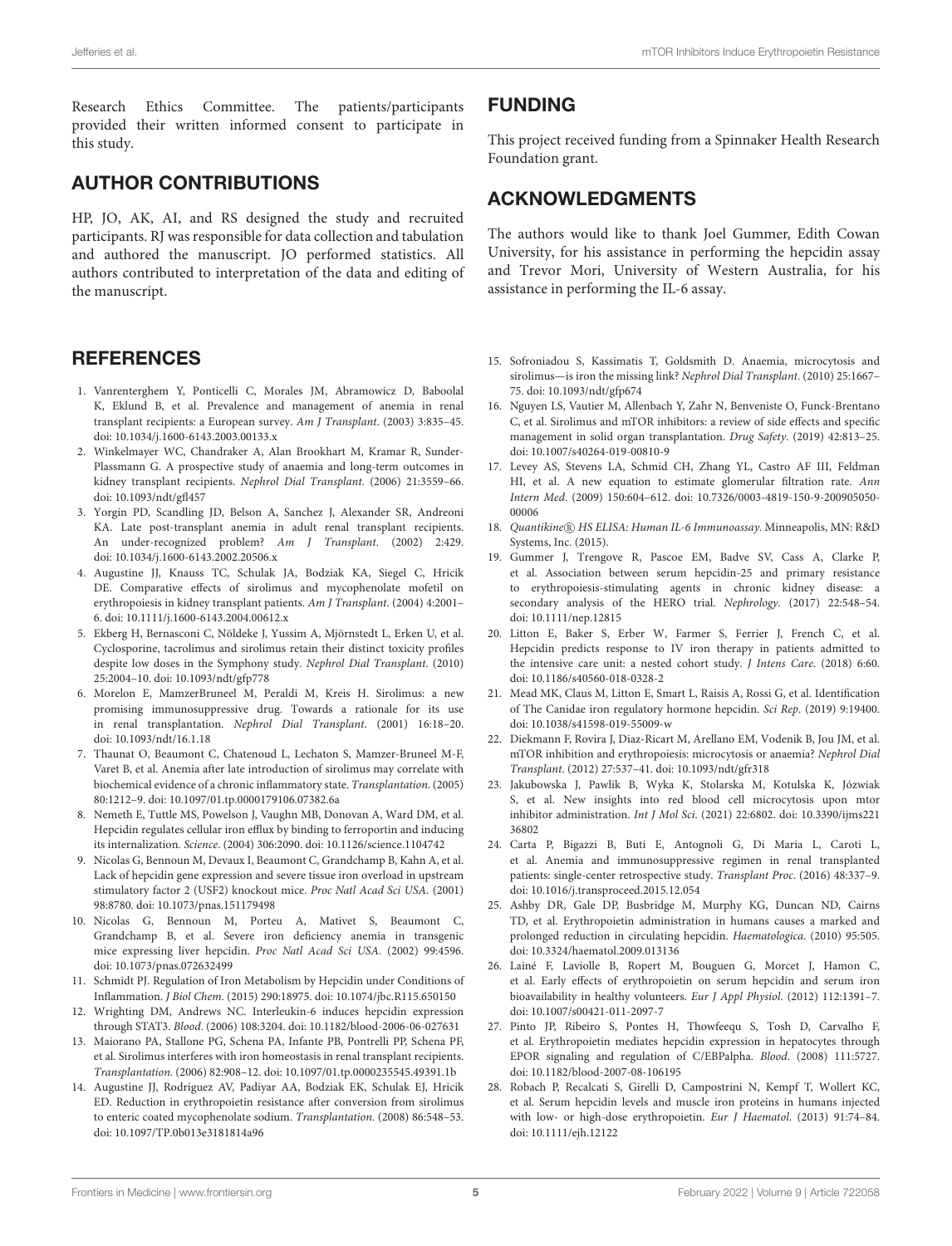Research Ethics Committee. The patients/participants provided their written informed consent to participate in this study.

#### AUTHOR CONTRIBUTIONS

HP, JO, AK, AI, and RS designed the study and recruited participants. RJ was responsible for data collection and tabulation and authored the manuscript. JO performed statistics. All authors contributed to interpretation of the data and editing of the manuscript.

#### **REFERENCES**

- <span id="page-6-0"></span>1. Vanrenterghem Y, Ponticelli C, Morales JM, Abramowicz D, Baboolal K, Eklund B, et al. Prevalence and management of anemia in renal transplant recipients: a European survey. Am J Transplant. (2003) 3:835–45. doi: [10.1034/j.1600-6143.2003.00133.x](https://doi.org/10.1034/j.1600-6143.2003.00133.x)
- 2. Winkelmayer WC, Chandraker A, Alan Brookhart M, Kramar R, Sunder-Plassmann G. A prospective study of anaemia and long-term outcomes in kidney transplant recipients. Nephrol Dial Transplant. (2006) 21:3559–66. doi: [10.1093/ndt/gfl457](https://doi.org/10.1093/ndt/gfl457)
- <span id="page-6-1"></span>3. Yorgin PD, Scandling JD, Belson A, Sanchez J, Alexander SR, Andreoni KA. Late post-transplant anemia in adult renal transplant recipients. An under-recognized problem? Am J Transplant. (2002) 2:429. doi: [10.1034/j.1600-6143.2002.20506.x](https://doi.org/10.1034/j.1600-6143.2002.20506.x)
- <span id="page-6-2"></span>4. Augustine JJ, Knauss TC, Schulak JA, Bodziak KA, Siegel C, Hricik DE. Comparative effects of sirolimus and mycophenolate mofetil on erythropoiesis in kidney transplant patients. Am J Transplant. (2004) 4:2001-6. doi: [10.1111/j.1600-6143.2004.00612.x](https://doi.org/10.1111/j.1600-6143.2004.00612.x)
- <span id="page-6-3"></span>5. Ekberg H, Bernasconi C, Nöldeke J, Yussim A, Mjörnstedt L, Erken U, et al. Cyclosporine, tacrolimus and sirolimus retain their distinct toxicity profiles despite low doses in the Symphony study. Nephrol Dial Transplant. (2010) 25:2004–10. doi: [10.1093/ndt/gfp778](https://doi.org/10.1093/ndt/gfp778)
- <span id="page-6-4"></span>6. Morelon E, MamzerBruneel M, Peraldi M, Kreis H. Sirolimus: a new promising immunosuppressive drug. Towards a rationale for its use in renal transplantation. Nephrol Dial Transplant. (2001) 16:18–20. doi: [10.1093/ndt/16.1.18](https://doi.org/10.1093/ndt/16.1.18)
- <span id="page-6-5"></span>7. Thaunat O, Beaumont C, Chatenoud L, Lechaton S, Mamzer-Bruneel M-F, Varet B, et al. Anemia after late introduction of sirolimus may correlate with biochemical evidence of a chronic inflammatory state. Transplantation. (2005) 80:1212–9. doi: [10.1097/01.tp.0000179106.07382.6a](https://doi.org/10.1097/01.tp.0000179106.07382.6a)
- <span id="page-6-6"></span>8. Nemeth E, Tuttle MS, Powelson J, Vaughn MB, Donovan A, Ward DM, et al. Hepcidin regulates cellular iron efflux by binding to ferroportin and inducing its internalization. Science. (2004) 306:2090. doi: [10.1126/science.1104742](https://doi.org/10.1126/science.1104742)
- <span id="page-6-7"></span>9. Nicolas G, Bennoun M, Devaux I, Beaumont C, Grandchamp B, Kahn A, et al. Lack of hepcidin gene expression and severe tissue iron overload in upstream stimulatory factor 2 (USF2) knockout mice. Proc Natl Acad Sci USA. (2001) 98:8780. doi: [10.1073/pnas.151179498](https://doi.org/10.1073/pnas.151179498)
- <span id="page-6-8"></span>10. Nicolas G, Bennoun M, Porteu A, Mativet S, Beaumont C, Grandchamp B, et al. Severe iron deficiency anemia in transgenic mice expressing liver hepcidin. Proc Natl Acad Sci USA. (2002) 99:4596. doi: [10.1073/pnas.072632499](https://doi.org/10.1073/pnas.072632499)
- <span id="page-6-9"></span>11. Schmidt PJ. Regulation of Iron Metabolism by Hepcidin under Conditions of Inflammation. J Biol Chem. (2015) 290:18975. doi: [10.1074/jbc.R115.650150](https://doi.org/10.1074/jbc.R115.650150)
- <span id="page-6-10"></span>12. Wrighting DM, Andrews NC. Interleukin-6 induces hepcidin expression through STAT3. Blood. (2006) 108:3204. doi: [10.1182/blood-2006-06-027631](https://doi.org/10.1182/blood-2006-06-027631)
- <span id="page-6-11"></span>13. Maiorano PA, Stallone PG, Schena PA, Infante PB, Pontrelli PP, Schena PF, et al. Sirolimus interferes with iron homeostasis in renal transplant recipients. Transplantation. (2006) 82:908–12. doi: [10.1097/01.tp.0000235545.49391.1b](https://doi.org/10.1097/01.tp.0000235545.49391.1b)
- <span id="page-6-12"></span>14. Augustine JJ, Rodriguez AV, Padiyar AA, Bodziak EK, Schulak EJ, Hricik ED. Reduction in erythropoietin resistance after conversion from sirolimus to enteric coated mycophenolate sodium. Transplantation. (2008) 86:548–53. doi: [10.1097/TP.0b013e3181814a96](https://doi.org/10.1097/TP.0b013e3181814a96)

#### FUNDING

This project received funding from a Spinnaker Health Research Foundation grant.

#### ACKNOWLEDGMENTS

The authors would like to thank Joel Gummer, Edith Cowan University, for his assistance in performing the hepcidin assay and Trevor Mori, University of Western Australia, for his assistance in performing the IL-6 assay.

- <span id="page-6-18"></span>15. Sofroniadou S, Kassimatis T, Goldsmith D. Anaemia, microcytosis and sirolimus—is iron the missing link? Nephrol Dial Transplant. (2010) 25:1667– 75. doi: [10.1093/ndt/gfp674](https://doi.org/10.1093/ndt/gfp674)
- <span id="page-6-13"></span>16. Nguyen LS, Vautier M, Allenbach Y, Zahr N, Benveniste O, Funck-Brentano C, et al. Sirolimus and mTOR inhibitors: a review of side effects and specific management in solid organ transplantation. Drug Safety. (2019) 42:813–25. doi: [10.1007/s40264-019-00810-9](https://doi.org/10.1007/s40264-019-00810-9)
- <span id="page-6-14"></span>17. Levey AS, Stevens LA, Schmid CH, Zhang YL, Castro AF III, Feldman HI, et al. A new equation to estimate glomerular filtration rate. Ann Intern Med[. \(2009\) 150:604–612. doi: 10.7326/0003-4819-150-9-200905050-](https://doi.org/10.7326/0003-4819-150-9-200905050-00006) 00006
- <span id="page-6-15"></span>18. Quantikine (R) HS ELISA: Human IL-6 Immunoassay. Minneapolis, MN: R&D Systems, Inc. (2015).
- <span id="page-6-16"></span>19. Gummer J, Trengove R, Pascoe EM, Badve SV, Cass A, Clarke P, et al. Association between serum hepcidin-25 and primary resistance to erythropoiesis-stimulating agents in chronic kidney disease: a secondary analysis of the HERO trial. Nephrology. (2017) 22:548–54. doi: [10.1111/nep.12815](https://doi.org/10.1111/nep.12815)
- 20. Litton E, Baker S, Erber W, Farmer S, Ferrier J, French C, et al. Hepcidin predicts response to IV iron therapy in patients admitted to the intensive care unit: a nested cohort study. J Intens Care. (2018) 6:60. doi: [10.1186/s40560-018-0328-2](https://doi.org/10.1186/s40560-018-0328-2)
- <span id="page-6-17"></span>21. Mead MK, Claus M, Litton E, Smart L, Raisis A, Rossi G, et al. Identification of The Canidae iron regulatory hormone hepcidin. Sci Rep. (2019) 9:19400. doi: [10.1038/s41598-019-55009-w](https://doi.org/10.1038/s41598-019-55009-w)
- <span id="page-6-19"></span>22. Diekmann F, Rovira J, Diaz-Ricart M, Arellano EM, Vodenik B, Jou JM, et al. mTOR inhibition and erythropoiesis: microcytosis or anaemia? Nephrol Dial Transplant. (2012) 27:537–41. doi: [10.1093/ndt/gfr318](https://doi.org/10.1093/ndt/gfr318)
- <span id="page-6-23"></span>23. Jakubowska J, Pawlik B, Wyka K, Stolarska M, Kotulska K, Józwiak S, et al. New insights into red blood cell microcytosis upon mtor inhibitor administration. Int J Mol Sci[. \(2021\) 22:6802. doi: 10.3390/ijms221](https://doi.org/10.3390/ijms22136802) 36802
- <span id="page-6-20"></span>24. Carta P, Bigazzi B, Buti E, Antognoli G, Di Maria L, Caroti L, et al. Anemia and immunosuppressive regimen in renal transplanted patients: single-center retrospective study. Transplant Proc. (2016) 48:337–9. doi: [10.1016/j.transproceed.2015.12.054](https://doi.org/10.1016/j.transproceed.2015.12.054)
- <span id="page-6-21"></span>25. Ashby DR, Gale DP, Busbridge M, Murphy KG, Duncan ND, Cairns TD, et al. Erythropoietin administration in humans causes a marked and prolonged reduction in circulating hepcidin. Haematologica. (2010) 95:505. doi: [10.3324/haematol.2009.013136](https://doi.org/10.3324/haematol.2009.013136)
- 26. Lainé F, Laviolle B, Ropert M, Bouguen G, Morcet J, Hamon C, et al. Early effects of erythropoietin on serum hepcidin and serum iron bioavailability in healthy volunteers. Eur J Appl Physiol. (2012) 112:1391–7. doi: [10.1007/s00421-011-2097-7](https://doi.org/10.1007/s00421-011-2097-7)
- 27. Pinto JP, Ribeiro S, Pontes H, Thowfeequ S, Tosh D, Carvalho F, et al. Erythropoietin mediates hepcidin expression in hepatocytes through EPOR signaling and regulation of C/EBPalpha. Blood. (2008) 111:5727. doi: [10.1182/blood-2007-08-106195](https://doi.org/10.1182/blood-2007-08-106195)
- <span id="page-6-22"></span>28. Robach P, Recalcati S, Girelli D, Campostrini N, Kempf T, Wollert KC, et al. Serum hepcidin levels and muscle iron proteins in humans injected with low- or high-dose erythropoietin. Eur J Haematol. (2013) 91:74–84. doi: [10.1111/ejh.12122](https://doi.org/10.1111/ejh.12122)